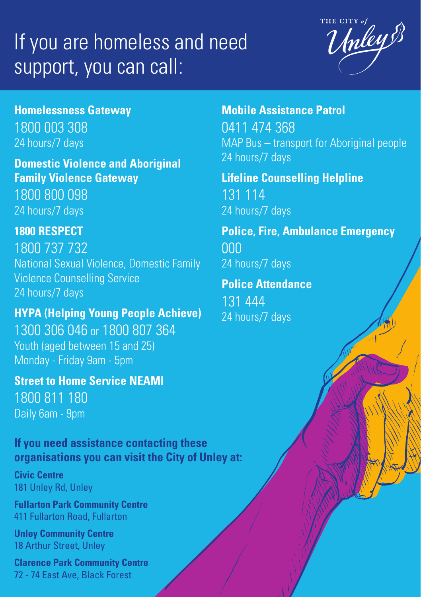## If you are homeless and need support, you can call:



**Homelessness Gateway**  1800 003 308

24 hours/7 days

**Domestic Violence and Aboriginal Family Violence Gateway**  1800 800 098 24 hours/7 days

**1800 RESPECT**  1800 737 732 National Sexual Violence, Domestic Family Violence Counselling Service 24 hours/7 days

**HYPA (Helping Young People Achieve)**  1300 306 046 or 1800 807 364 Youth (aged between 15 and 25) Monday - Friday 9am - 5pm

**Street to Home Service NEAMI** 1800 811 180 Daily 6am - 9pm

**If you need assistance contacting these organisations you can visit the City of Unley at:**

**Civic Centre**  181 Unley Rd, Unley

**Fullarton Park Community Centre** 411 Fullarton Road, Fullarton

**Unley Community Centre** 18 Arthur Street, Unley

**Clarence Park Community Centre** 72 - 74 East Ave, Black Forest

**Mobile Assistance Patrol**  0411 474 368 MAP Bus – transport for Aboriginal people 24 hours/7 days

**Lifeline Counselling Helpline** 131 114 24 hours/7 days

**Police, Fire, Ambulance Emergency** 000 24 hours/7 days

**Police Attendance**  131 444 24 hours/7 days